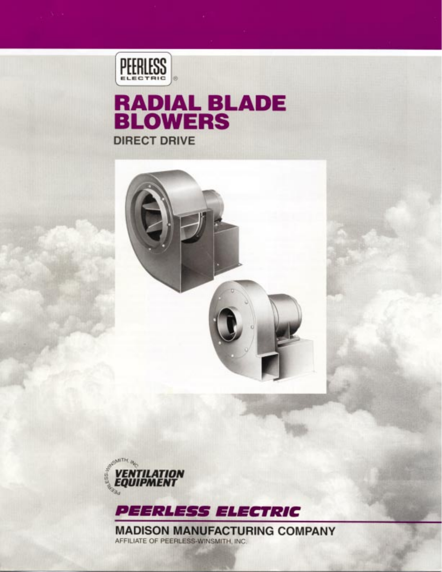

# **RADIAL BLADE<br>BLOWERS DIRECT DRIVE**







**MADISON MANUFACTURING COMPANY** AFFILIATE OF PEERLESS-WINSMITH, INC.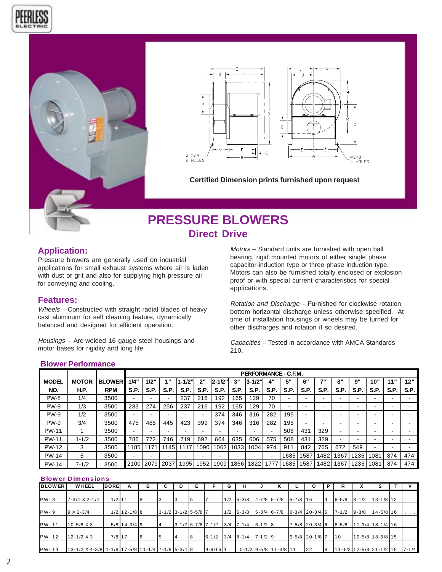





**Certified Dimension prints furnished upon request**

# **PRESSURE BLOWERS Direct Drive**

# **Application:**

Pressure blowers are generally used on industrial applications for small exhaust systems where air is laden with dust or grit and also for supplying high pressure air for conveying and cooling.

### **Features:**

Wheels – Constructed with straight radial blades of heavy cast aluminum for self cleaning feature, dynamically balanced and designed for efficient operation.

Housings – Arc-welded 16 gauge steel housings and motor bases for rigidity and long life.

Motors – Standard units are furnished with open ball bearing, rigid mounted motors of either single phase capacitor-induction type or three phase induction type. Motors can also be furnished totally enclosed or explosion proof or with special current characteristics for special applications.

Rotation and Discharge – Furnished for clockwise rotation, bottom horizontal discharge unless otherwise specified. At time of installation housings or wheels may be turned for other discharges and rotation if so desired.

Capacities – Tested in accordance with AMCA Standards 210.

#### **Blower Performance**

|              |              |               | PERFORMANCE - C.F.M. |                 |                          |        |                          |            |      |         |      |      |                          |                  |                   |      |      |             |      |
|--------------|--------------|---------------|----------------------|-----------------|--------------------------|--------|--------------------------|------------|------|---------|------|------|--------------------------|------------------|-------------------|------|------|-------------|------|
| <b>MODEL</b> | <b>MOTOR</b> | <b>BLOWER</b> | 1/4"                 | 1/2"            | 4 .                      | 1-1/2" | 2"                       | $2 - 1/2"$ | 3"   | l3-1/2" | 4"   | 5"   | 6"                       | $\rightarrow$ 11 | $\mathbf{o}$<br>o | 9"   | 10"  | <b>44 W</b> | 12"  |
| NO.          | H.P.         | <b>RPM</b>    | S.P.                 | S.P.            | S.P.                     | S.P.   | S.P.                     | S.P.       | S.P. | S.P.    | S.P. | S.P. | S.P.                     | S.P.             | S.P.              | S.P. | S.P. | S.P.        | S.P. |
| PW-8         | 1/4          | 3500          | $\blacksquare$       |                 | $\overline{\phantom{0}}$ | 237    | 216                      | 192        | 165  | 129     | 70   | -    | $\overline{\phantom{a}}$ | -                | -                 |      | -    |             |      |
| PW-8         | 1/3          | 3500          | 283                  | 274             | 256                      | 237    | 216                      | l 92       | 165  | 129     | 70   | ۰    | $\overline{\phantom{a}}$ | -                | -                 |      | -    |             |      |
| PW-9         | 1/2          | 3500          | $\blacksquare$       |                 | -                        |        | $\overline{\phantom{0}}$ | 374        | 346  | 316     | 282  | 195  | $\overline{\phantom{a}}$ | -                | -                 |      | -    |             |      |
| <b>PW-9</b>  | 3/4          | 3500          | 475                  | 465             | 445                      | 423    | 399                      | 374        | 346  | 316     | 282  | 195  |                          |                  | -                 |      | -    |             |      |
| <b>PW-11</b> |              | 3500          |                      |                 | -                        |        | $\overline{\phantom{0}}$ |            |      | -       |      | 508  | 431                      | 329              | ۰                 |      | -    |             |      |
| <b>PW-11</b> | $1 - 1/2$    | 3500          | 786                  | 772             | 746                      | 719    | 692                      | 664        | 635  | 606     | 575  | 508  | 431                      | 329              | -                 |      | -    | -           |      |
| <b>PW-12</b> | 3            | 3500          | 185                  | 17 <sup>′</sup> | 145                      | 17     | 090                      | 062        | 1033 | 004     | 974  | 911  | 842                      | 765              | 672               | 549  | $\,$ |             |      |
| <b>PW-14</b> | 5            | 3500          | $\blacksquare$       |                 | -                        |        | -                        |            | -    | -       |      | 1685 | 587ء                     | 1482             | 367               | 236  | 1081 | 874         | 474  |
| <b>PW-14</b> | $7 - 1/2$    | 3500          | 2100                 | 2079            | 2037                     | 1995   | 1952                     | 909        | 866  | 822     | 777  | 1685 | <b>1587</b>              | 1482             | 367               | 1236 | 1081 | 874         | 474  |

### **Blower Dimensions**

| <b>BLOWER</b> | <b>WHEEL</b>                                                     | <b>BORE</b> | А              | в |                           | D | Е |              | G | н                                     | κ                 |              | O                    | Р  | R                               |                    |                  |                      |
|---------------|------------------------------------------------------------------|-------------|----------------|---|---------------------------|---|---|--------------|---|---------------------------------------|-------------------|--------------|----------------------|----|---------------------------------|--------------------|------------------|----------------------|
|               |                                                                  |             |                |   |                           |   |   |              |   |                                       |                   |              |                      |    |                                 |                    |                  |                      |
| <b>PW-8</b>   | $7-3/4$ X 2-1/4                                                  | $1/2$ 11    |                | 8 |                           |   |   |              |   | $1/2$ 5-3/8                           | $4 - 7/8$ 5 - 7/8 | $5 - 7/8$ 16 |                      | 14 | $6 - 5/8$                       | $8 - 1/2$          | $13 - 1/8$ 12    |                      |
|               |                                                                  |             |                |   |                           |   |   |              |   |                                       |                   |              |                      |    |                                 |                    |                  |                      |
| PW-9          | $9 \times 2 - 3/4$                                               |             | $1/2$ 12-1/8 8 |   | $3-1/2$ $3-1/2$ $5-5/8$ 7 |   |   |              |   | $1/2$ 6-3/8                           |                   |              |                      |    | $7 - 1/2$                       | $9 - 3/8$          | $14 - 5/8$ 16    | $\cdots$             |
|               |                                                                  |             |                |   |                           |   |   |              |   |                                       |                   |              |                      |    |                                 |                    |                  |                      |
| PW-11         | $10 - 5/8 \times 3$                                              |             | $5/8$ 14-3/4 9 |   |                           |   |   |              |   | $3-1/2$ 6-7/8 7-1/2 3/4 7-1/4 6-1/2 8 |                   |              | $7 - 5/8$ 20 - 3/4 6 |    | $8 - 5/8$                       | $11-3/4$ 18-1/4 16 |                  | $\cdots$             |
|               |                                                                  |             |                |   |                           |   |   |              |   |                                       |                   |              |                      |    |                                 |                    |                  |                      |
| PW-12         | $12 - 1/2 \times 3$                                              | $7/8$ 17    |                | 8 |                           |   |   | $6 - 1/2$    |   | $13/4$ $18-1/4$ $17-1/2$ 9            |                   |              | $9 - 5/8$ 20-1/87    |    | 110                             |                    | 10-5/8 18-3/8 15 | $\sim$ $\sim$ $\sim$ |
|               |                                                                  |             |                |   |                           |   |   |              |   |                                       |                   |              |                      |    |                                 |                    |                  |                      |
| PW-14         | $13 - 1/2$ X 4 - 3/8 1 - 1/8 17 - 5/8 11 - 1/4 7 - 1/8 5 - 3/4 8 |             |                |   |                           |   |   | $9 - 9/16$ 1 |   | $10-1/2$ 9 - 5/8 11 - 3/8 11          |                   |              | 22                   | 8  | $11 - 1/2$ 12 - 5/8 21 - 1/2 15 |                    |                  | $7 - 1/4$            |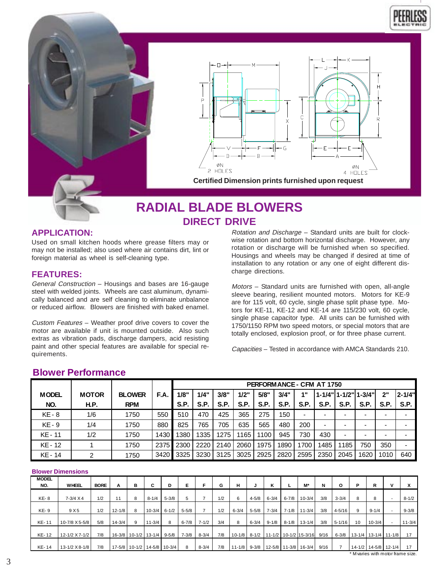



# **RADIAL BLADE BLOWERS DIRECT DRIVE**

# **APPLICATION:**

Used on small kitchen hoods where grease filters may or may not be installed; also used where air contains dirt, lint or foreign material as wheel is self-cleaning type.

### **FEATURES:**

General Construction – Housings and bases are 16-gauge steel with welded joints. Wheels are cast aluminum, dynamically balanced and are self cleaning to eliminate unbalance or reduced airflow. Blowers are finished with baked enamel.

Custom Features – Weather proof drive covers to cover the motor are available if unit is mounted outside. Also such extras as vibration pads, discharge dampers, acid resisting paint and other special features are available for special requirements.

Rotation and Discharge – Standard units are built for clockwise rotation and bottom horizontal discharge. However, any rotation or discharge will be furnished when so specified. Housings and wheels may be changed if desired at time of installation to any rotation or any one of eight different discharge directions.

Motors – Standard units are furnished with open, all-angle sleeve bearing, resilient mounted motors. Motors for KE-9 are for 115 volt, 60 cycle, single phase split phase type. Motors for KE-11, KE-12 and KE-14 are 115/230 volt, 60 cycle, single phase capacitor type. All units can be furnished with 1750/1150 RPM two speed motors, or special motors that are totally enclosed, explosion proof, or for three phase current.

Capacities – Tested in accordance with AMCA Standards 210.

### **Blower Performance**

|              |              |               |      | PERFORM ANCE - CFM AT 1750 |      |      |      |      |      |             |      |      |                        |      |          |
|--------------|--------------|---------------|------|----------------------------|------|------|------|------|------|-------------|------|------|------------------------|------|----------|
| <b>MODEL</b> | <b>MOTOR</b> | <b>BLOWER</b> | F.A. | 1/8"                       | 1/4" | 3/8" | 1/2" | 5/8" | 3/4" | 4 "         |      |      | 1-1/4"  1-1/2"  1-3/4" | 2"   | l 2-1/4" |
| NO.          | <b>H.P.</b>  | <b>RPM</b>    |      | <b>S.P.</b>                | S.P. | S.P. | S.P. | S.P. | S.P. | <b>S.P.</b> | S.P. | S.P. | <b>S.P.</b>            | S.P. | S.P.     |
| KE - 8       | 1/6          | 1750          | 550  | 510                        | 470  | 425  | 365  | 275  | 150  |             |      |      |                        |      |          |
| <b>KE-9</b>  | 1/4          | 1750          | 880  | 825                        | 765  | 705  | 635  | 565  | 480  | 200         |      |      |                        |      |          |
| KE - 11      | 1/2          | 1750          | 1430 | 1380                       | 1335 | 1275 | 1165 | 1100 | 945  | 730         | 430  |      |                        |      |          |
| KE - 12      |              | 1750          | 2375 | 2300                       | 2220 | 2140 | 2060 | 1975 | 1890 | 1700        | 1485 | 1185 | 750                    | 350  |          |
| KE - 14      | 2            | 1750          | 3420 | 3325                       | 3230 | 3125 | 3025 | 2925 | 2820 | 2595        | 2350 | 2045 | 1620                   | 1010 | 640      |

### **Blower Dimensions**

| <b>MODEL</b> |                    |             |            |               |                             |           |           |           |     |                  |           |           |           |                             |      |            |                                   |                      |   |            |
|--------------|--------------------|-------------|------------|---------------|-----------------------------|-----------|-----------|-----------|-----|------------------|-----------|-----------|-----------|-----------------------------|------|------------|-----------------------------------|----------------------|---|------------|
| NO.          | <b>WHEEL</b>       | <b>BORE</b> | A          | в             | С                           | D         | Е         | F         | G   | н                |           | ĸ         |           | M*                          | N    | O          | P                                 | R                    | v |            |
|              |                    |             |            |               |                             |           |           |           |     |                  |           |           |           |                             |      |            |                                   |                      |   |            |
| <b>KE-8</b>  | $7 - 3/4 \times 4$ | 1/2         | 11         | 8             | $8 - 1/4$                   | $5 - 3/8$ | 5         |           | 1/2 | 6                | $4 - 5/8$ | $6 - 3/4$ | $6 - 7/8$ | $10-3/4$                    | 3/8  | $3 - 3/4$  | 8                                 | 8                    |   | $8 - 1/2$  |
|              |                    |             |            |               |                             |           |           |           |     |                  |           |           |           |                             |      |            |                                   |                      |   |            |
| <b>KE-9</b>  | 9 X 5              | 1/2         | $12 - 1/8$ | 8             | $10 - 3/4$                  | $6 - 1/2$ | $5 - 5/8$ |           | 1/2 | $6 - 3/4$        | $5 - 5/8$ | $7 - 3/4$ | $7 - 1/8$ | $11 - 3/4$                  | 3/8  | $4 - 5/16$ | 9                                 | $9 - 1/4$            |   | $9 - 3/8$  |
|              |                    |             |            |               |                             |           |           |           |     |                  |           |           |           |                             |      |            |                                   |                      |   |            |
| KE-11        | 10-7/8 X 5-5/8     | 5/8         | $14 - 3/4$ | 9             | $11 - 3/4$                  | 8         | $6 - 7/8$ | $7 - 1/2$ | 3/4 | 8                | $6 - 3/4$ | $9 - 1/8$ | $8 - 1/8$ | $13 - 1/4$                  | 3/8  | $5 - 1/16$ | 10                                | $10 - 3/4$           |   | $11 - 3/4$ |
|              |                    |             |            |               |                             |           |           |           |     |                  |           |           |           |                             |      |            |                                   |                      |   |            |
| KE-12        | 12-1/2 X 7-1/2     | 7/8         |            | 16-3/8 10-1/2 | $13 - 1/4$                  | $9 - 5/8$ | $7 - 3/8$ | $8 - 3/4$ | 7/8 | $10 - 1/8$       |           |           |           | 8-1/2 11-1/2 10-1/2 15-3/16 | 9/16 | $6 - 3/8$  |                                   | 13-1/4 13-1/4 11-1/8 |   | 17         |
|              |                    |             |            |               |                             |           |           |           |     |                  |           |           |           |                             |      |            |                                   |                      |   |            |
| KE-14        | 13-1/2 X 8-1/8     | 7/8         |            |               | 17-5/8 10-1/2 14-5/8 10-3/4 |           | 8         | $8 - 3/4$ | 7/8 | $11 - 1/8$ 9-3/8 |           |           |           | 12-5/8 11-3/8 16-3/4        | 9/16 |            |                                   | 14-1/2 14-5/8 12-1/4 |   | 17         |
|              |                    |             |            |               |                             |           |           |           |     |                  |           |           |           |                             |      |            | * M varies with motor frame size. |                      |   |            |